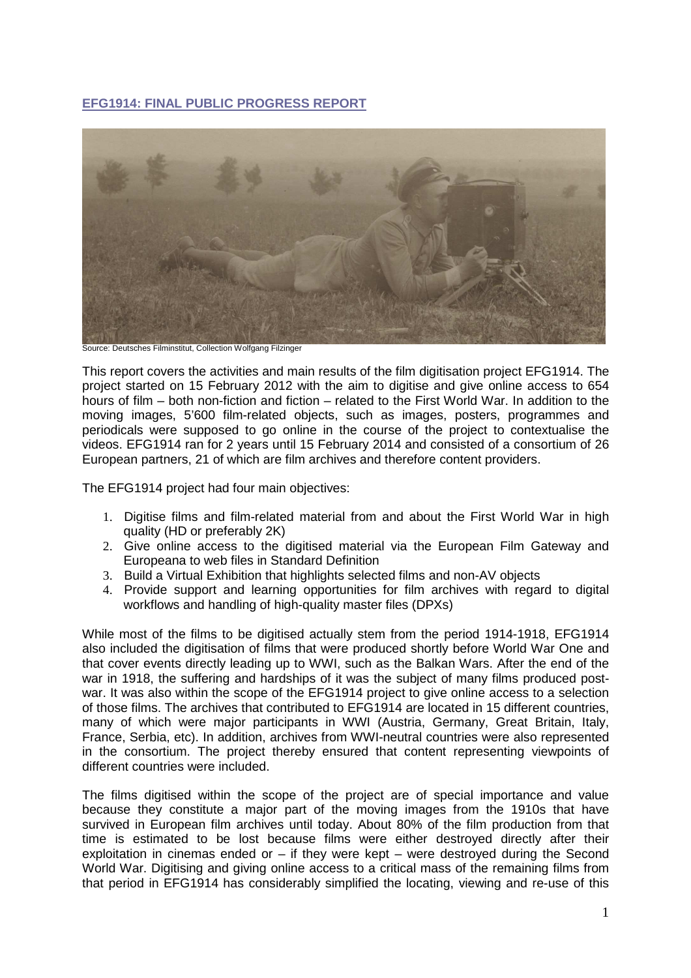# **EFG1914: FINAL PUBLIC PROGRESS REPORT**



Source: Deutsches Filminstitut, Collection Wolfgang Filzinger

This report covers the activities and main results of the film digitisation project EFG1914. The project started on 15 February 2012 with the aim to digitise and give online access to 654 hours of film – both non-fiction and fiction – related to the First World War. In addition to the moving images, 5'600 film-related objects, such as images, posters, programmes and periodicals were supposed to go online in the course of the project to contextualise the videos. EFG1914 ran for 2 years until 15 February 2014 and consisted of a consortium of 26 European partners, 21 of which are film archives and therefore content providers.

The EFG1914 project had four main objectives:

- 1. Digitise films and film-related material from and about the First World War in high quality (HD or preferably 2K)
- 2. Give online access to the digitised material via the European Film Gateway and Europeana to web files in Standard Definition
- 3. Build a Virtual Exhibition that highlights selected films and non-AV objects
- 4. Provide support and learning opportunities for film archives with regard to digital workflows and handling of high-quality master files (DPXs)

While most of the films to be digitised actually stem from the period 1914-1918, EFG1914 also included the digitisation of films that were produced shortly before World War One and that cover events directly leading up to WWI, such as the Balkan Wars. After the end of the war in 1918, the suffering and hardships of it was the subject of many films produced postwar. It was also within the scope of the EFG1914 project to give online access to a selection of those films. The archives that contributed to EFG1914 are located in 15 different countries, many of which were major participants in WWI (Austria, Germany, Great Britain, Italy, France, Serbia, etc). In addition, archives from WWI-neutral countries were also represented in the consortium. The project thereby ensured that content representing viewpoints of different countries were included.

The films digitised within the scope of the project are of special importance and value because they constitute a major part of the moving images from the 1910s that have survived in European film archives until today. About 80% of the film production from that time is estimated to be lost because films were either destroyed directly after their exploitation in cinemas ended or  $-$  if they were kept  $-$  were destroyed during the Second World War. Digitising and giving online access to a critical mass of the remaining films from that period in EFG1914 has considerably simplified the locating, viewing and re-use of this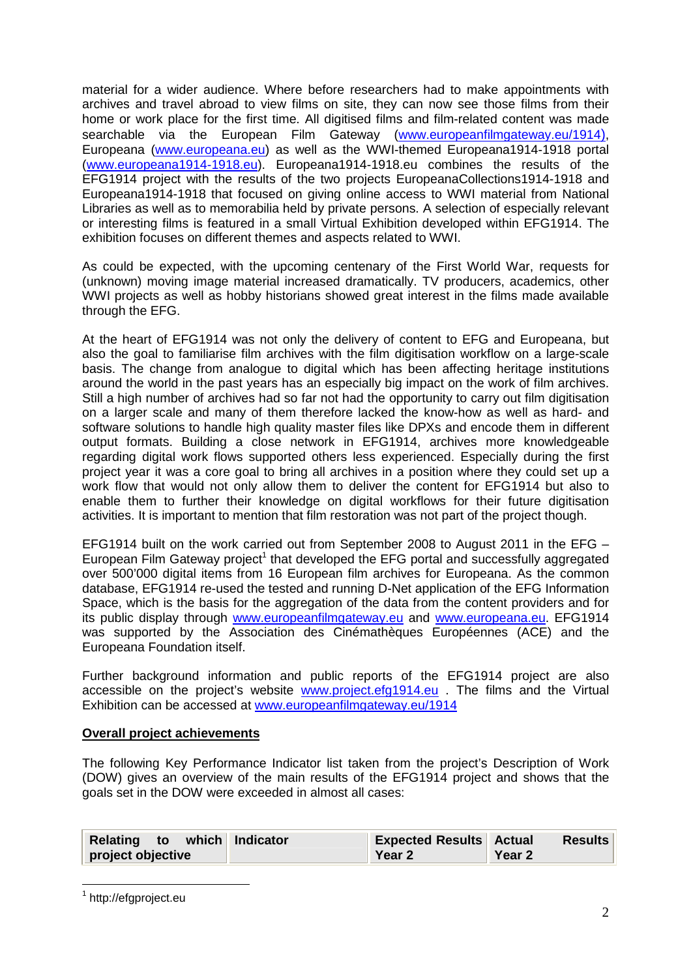material for a wider audience. Where before researchers had to make appointments with archives and travel abroad to view films on site, they can now see those films from their home or work place for the first time. All digitised films and film-related content was made searchable via the European Film Gateway (www.europeanfilmgateway.eu/1914), Europeana (www.europeana.eu) as well as the WWI-themed Europeana1914-1918 portal (www.europeana1914-1918.eu). Europeana1914-1918.eu combines the results of the EFG1914 project with the results of the two projects EuropeanaCollections1914-1918 and Europeana1914-1918 that focused on giving online access to WWI material from National Libraries as well as to memorabilia held by private persons. A selection of especially relevant or interesting films is featured in a small Virtual Exhibition developed within EFG1914. The exhibition focuses on different themes and aspects related to WWI.

As could be expected, with the upcoming centenary of the First World War, requests for (unknown) moving image material increased dramatically. TV producers, academics, other WWI projects as well as hobby historians showed great interest in the films made available through the EFG.

At the heart of EFG1914 was not only the delivery of content to EFG and Europeana, but also the goal to familiarise film archives with the film digitisation workflow on a large-scale basis. The change from analogue to digital which has been affecting heritage institutions around the world in the past years has an especially big impact on the work of film archives. Still a high number of archives had so far not had the opportunity to carry out film digitisation on a larger scale and many of them therefore lacked the know-how as well as hard- and software solutions to handle high quality master files like DPXs and encode them in different output formats. Building a close network in EFG1914, archives more knowledgeable regarding digital work flows supported others less experienced. Especially during the first project year it was a core goal to bring all archives in a position where they could set up a work flow that would not only allow them to deliver the content for EFG1914 but also to enable them to further their knowledge on digital workflows for their future digitisation activities. It is important to mention that film restoration was not part of the project though.

EFG1914 built on the work carried out from September 2008 to August 2011 in the EFG – European Film Gateway project<sup>1</sup> that developed the EFG portal and successfully aggregated over 500'000 digital items from 16 European film archives for Europeana. As the common database, EFG1914 re-used the tested and running D-Net application of the EFG Information Space, which is the basis for the aggregation of the data from the content providers and for its public display through www.europeanfilmgateway.eu and www.europeana.eu. EFG1914 was supported by the Association des Cinémathèques Européennes (ACE) and the Europeana Foundation itself.

Further background information and public reports of the EFG1914 project are also accessible on the project's website www.project.efg1914.eu . The films and the Virtual Exhibition can be accessed at www.europeanfilmgateway.eu/1914

# **Overall project achievements**

The following Key Performance Indicator list taken from the project's Description of Work (DOW) gives an overview of the main results of the EFG1914 project and shows that the goals set in the DOW were exceeded in almost all cases:

| Relating to which Indicator | <b>Expected Results Actual</b> | <b>Results</b> |
|-----------------------------|--------------------------------|----------------|
| project objective           | <b>Year 2</b>                  | <b>Year 2</b>  |

<sup>&</sup>lt;sup>1</sup> http://efgproject.eu

 $\overline{\phantom{a}}$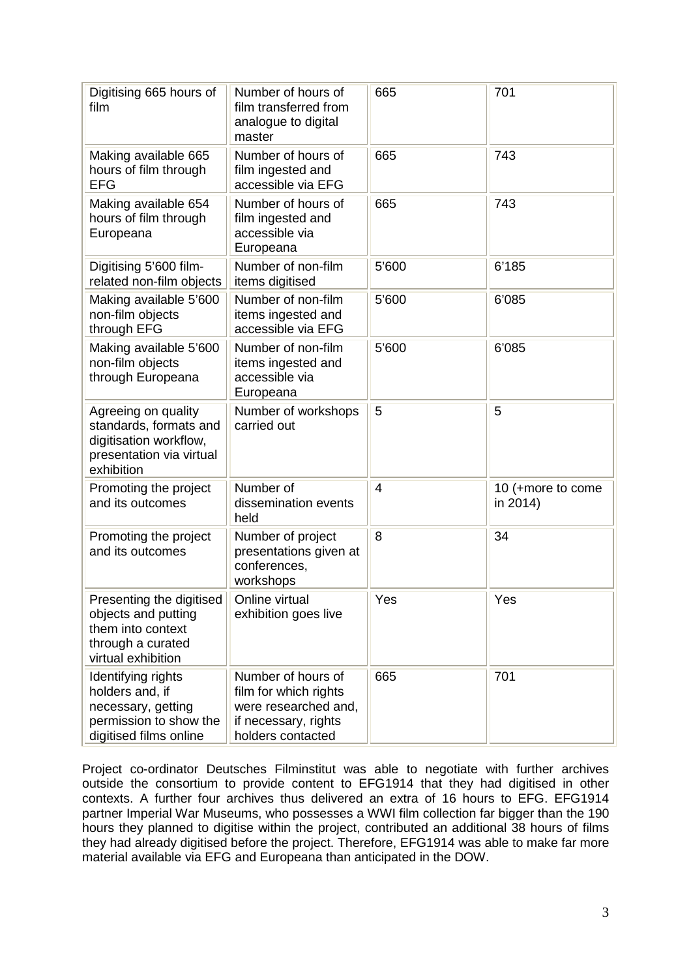| Digitising 665 hours of<br>film                                                                                   | Number of hours of<br>film transferred from<br>analogue to digital<br>master                                     | 665   | 701                           |
|-------------------------------------------------------------------------------------------------------------------|------------------------------------------------------------------------------------------------------------------|-------|-------------------------------|
| Making available 665<br>hours of film through<br><b>EFG</b>                                                       | Number of hours of<br>film ingested and<br>accessible via EFG                                                    | 665   | 743                           |
| Making available 654<br>hours of film through<br>Europeana                                                        | Number of hours of<br>film ingested and<br>accessible via<br>Europeana                                           | 665   | 743                           |
| Digitising 5'600 film-<br>related non-film objects                                                                | Number of non-film<br>items digitised                                                                            | 5'600 | 6'185                         |
| Making available 5'600<br>non-film objects<br>through EFG                                                         | Number of non-film<br>items ingested and<br>accessible via EFG                                                   | 5'600 | 6'085                         |
| Making available 5'600<br>non-film objects<br>through Europeana                                                   | Number of non-film<br>items ingested and<br>accessible via<br>Europeana                                          | 5'600 | 6'085                         |
| Agreeing on quality<br>standards, formats and<br>digitisation workflow,<br>presentation via virtual<br>exhibition | Number of workshops<br>carried out                                                                               | 5     | 5                             |
| Promoting the project<br>and its outcomes                                                                         | Number of<br>dissemination events<br>held                                                                        | 4     | 10 (+more to come<br>in 2014) |
| Promoting the project<br>and its outcomes                                                                         | Number of project<br>presentations given at<br>conferences.<br>workshops                                         | 8     | 34                            |
| Presenting the digitised<br>objects and putting<br>them into context<br>through a curated<br>virtual exhibition   | Online virtual<br>exhibition goes live                                                                           | Yes   | Yes                           |
| Identifying rights<br>holders and, if<br>necessary, getting<br>permission to show the<br>digitised films online   | Number of hours of<br>film for which rights<br>were researched and,<br>if necessary, rights<br>holders contacted | 665   | 701                           |

Project co-ordinator Deutsches Filminstitut was able to negotiate with further archives outside the consortium to provide content to EFG1914 that they had digitised in other contexts. A further four archives thus delivered an extra of 16 hours to EFG. EFG1914 partner Imperial War Museums, who possesses a WWI film collection far bigger than the 190 hours they planned to digitise within the project, contributed an additional 38 hours of films they had already digitised before the project. Therefore, EFG1914 was able to make far more material available via EFG and Europeana than anticipated in the DOW.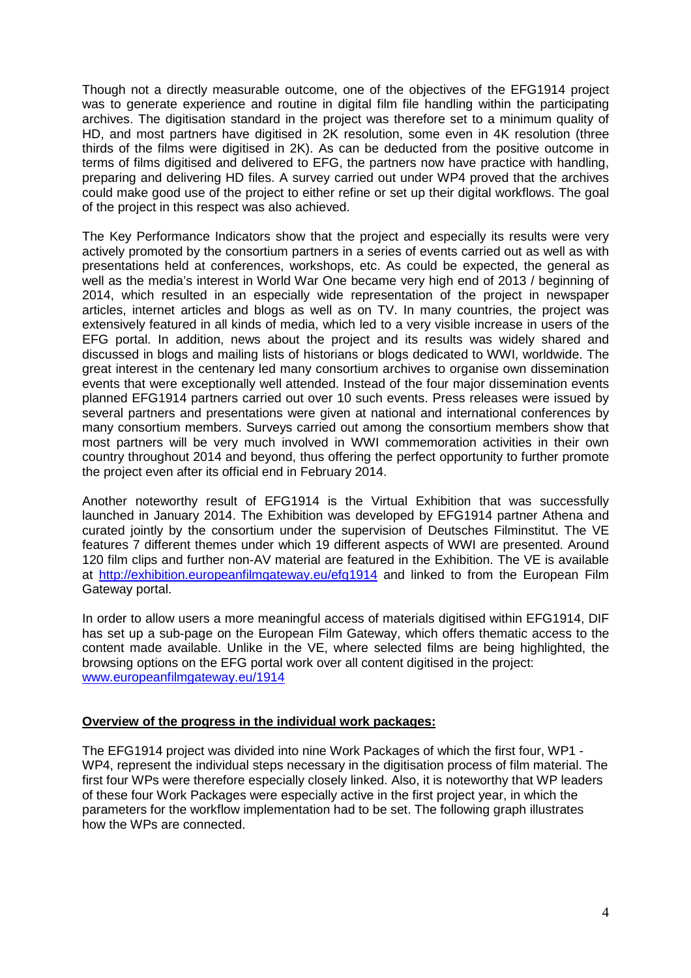Though not a directly measurable outcome, one of the objectives of the EFG1914 project was to generate experience and routine in digital film file handling within the participating archives. The digitisation standard in the project was therefore set to a minimum quality of HD, and most partners have digitised in 2K resolution, some even in 4K resolution (three thirds of the films were digitised in 2K). As can be deducted from the positive outcome in terms of films digitised and delivered to EFG, the partners now have practice with handling, preparing and delivering HD files. A survey carried out under WP4 proved that the archives could make good use of the project to either refine or set up their digital workflows. The goal of the project in this respect was also achieved.

The Key Performance Indicators show that the project and especially its results were very actively promoted by the consortium partners in a series of events carried out as well as with presentations held at conferences, workshops, etc. As could be expected, the general as well as the media's interest in World War One became very high end of 2013 / beginning of 2014, which resulted in an especially wide representation of the project in newspaper articles, internet articles and blogs as well as on TV. In many countries, the project was extensively featured in all kinds of media, which led to a very visible increase in users of the EFG portal. In addition, news about the project and its results was widely shared and discussed in blogs and mailing lists of historians or blogs dedicated to WWI, worldwide. The great interest in the centenary led many consortium archives to organise own dissemination events that were exceptionally well attended. Instead of the four major dissemination events planned EFG1914 partners carried out over 10 such events. Press releases were issued by several partners and presentations were given at national and international conferences by many consortium members. Surveys carried out among the consortium members show that most partners will be very much involved in WWI commemoration activities in their own country throughout 2014 and beyond, thus offering the perfect opportunity to further promote the project even after its official end in February 2014.

Another noteworthy result of EFG1914 is the Virtual Exhibition that was successfully launched in January 2014. The Exhibition was developed by EFG1914 partner Athena and curated jointly by the consortium under the supervision of Deutsches Filminstitut. The VE features 7 different themes under which 19 different aspects of WWI are presented. Around 120 film clips and further non-AV material are featured in the Exhibition. The VE is available at http://exhibition.europeanfilmgateway.eu/efg1914 and linked to from the European Film Gateway portal.

In order to allow users a more meaningful access of materials digitised within EFG1914, DIF has set up a sub-page on the European Film Gateway, which offers thematic access to the content made available. Unlike in the VE, where selected films are being highlighted, the browsing options on the EFG portal work over all content digitised in the project: www.europeanfilmgateway.eu/1914

# **Overview of the progress in the individual work packages:**

The EFG1914 project was divided into nine Work Packages of which the first four, WP1 - WP4, represent the individual steps necessary in the digitisation process of film material. The first four WPs were therefore especially closely linked. Also, it is noteworthy that WP leaders of these four Work Packages were especially active in the first project year, in which the parameters for the workflow implementation had to be set. The following graph illustrates how the WPs are connected.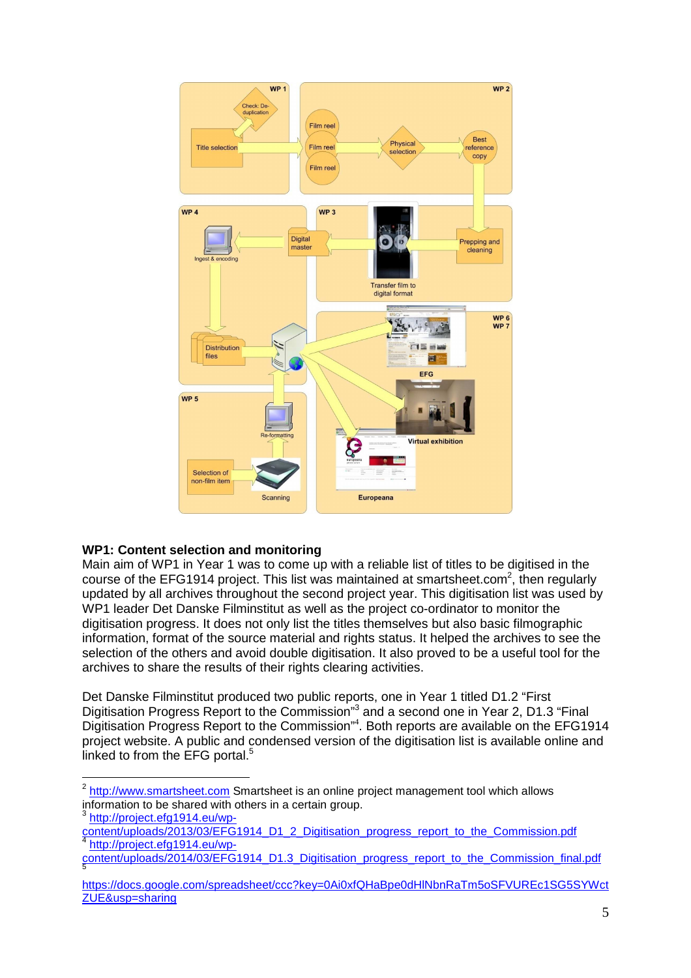

# **WP1: Content selection and monitoring**

Main aim of WP1 in Year 1 was to come up with a reliable list of titles to be digitised in the course of the EFG1914 project. This list was maintained at smartsheet.com<sup>2</sup>, then regularly updated by all archives throughout the second project year. This digitisation list was used by WP1 leader Det Danske Filminstitut as well as the project co-ordinator to monitor the digitisation progress. It does not only list the titles themselves but also basic filmographic information, format of the source material and rights status. It helped the archives to see the selection of the others and avoid double digitisation. It also proved to be a useful tool for the archives to share the results of their rights clearing activities.

Det Danske Filminstitut produced two public reports, one in Year 1 titled D1.2 "First Digitisation Progress Report to the Commission<sup>"3</sup> and a second one in Year 2, D1.3 "Final Digitisation Progress Report to the Commission"<sup>4</sup>. Both reports are available on the EFG1914 project website. A public and condensed version of the digitisation list is available online and linked to from the EFG portal. $5$ 

<sup>3</sup> http://project.efg1914.eu/wp-

 2 http://www.smartsheet.com Smartsheet is an online project management tool which allows information to be shared with others in a certain group.

content/uploads/2013/03/EFG1914\_D1\_2\_Digitisation\_progress\_report\_to\_the\_Commission.pdf 4 http://project.efg1914.eu/wp-

content/uploads/2014/03/EFG1914\_D1.3\_Digitisation\_progress\_report\_to\_the\_Commission\_final.pdf 5

https://docs.google.com/spreadsheet/ccc?key=0Ai0xfQHaBpe0dHlNbnRaTm5oSFVUREc1SG5SYWct ZUE&usp=sharing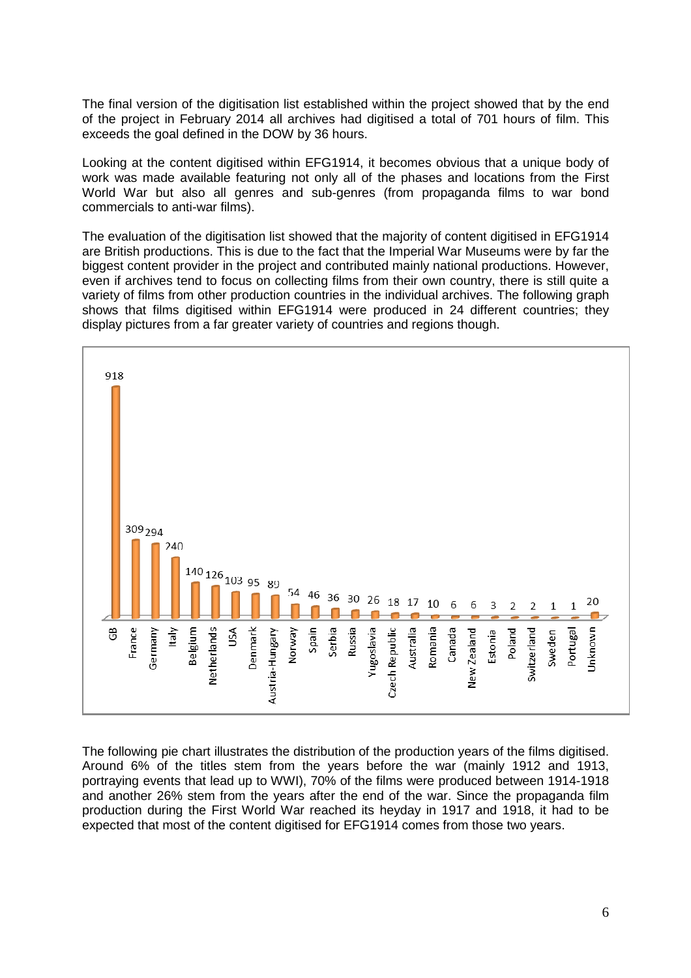The final version of the digitisation list established within the project showed that by the end of the project in February 2014 all archives had digitised a total of 701 hours of film. This exceeds the goal defined in the DOW by 36 hours.

Looking at the content digitised within EFG1914, it becomes obvious that a unique body of work was made available featuring not only all of the phases and locations from the First World War but also all genres and sub-genres (from propaganda films to war bond commercials to anti-war films).

The evaluation of the digitisation list showed that the majority of content digitised in EFG1914 are British productions. This is due to the fact that the Imperial War Museums were by far the biggest content provider in the project and contributed mainly national productions. However, even if archives tend to focus on collecting films from their own country, there is still quite a variety of films from other production countries in the individual archives. The following graph shows that films digitised within EFG1914 were produced in 24 different countries; they display pictures from a far greater variety of countries and regions though.



The following pie chart illustrates the distribution of the production years of the films digitised. Around 6% of the titles stem from the years before the war (mainly 1912 and 1913, portraying events that lead up to WWI), 70% of the films were produced between 1914-1918 and another 26% stem from the years after the end of the war. Since the propaganda film production during the First World War reached its heyday in 1917 and 1918, it had to be expected that most of the content digitised for EFG1914 comes from those two years.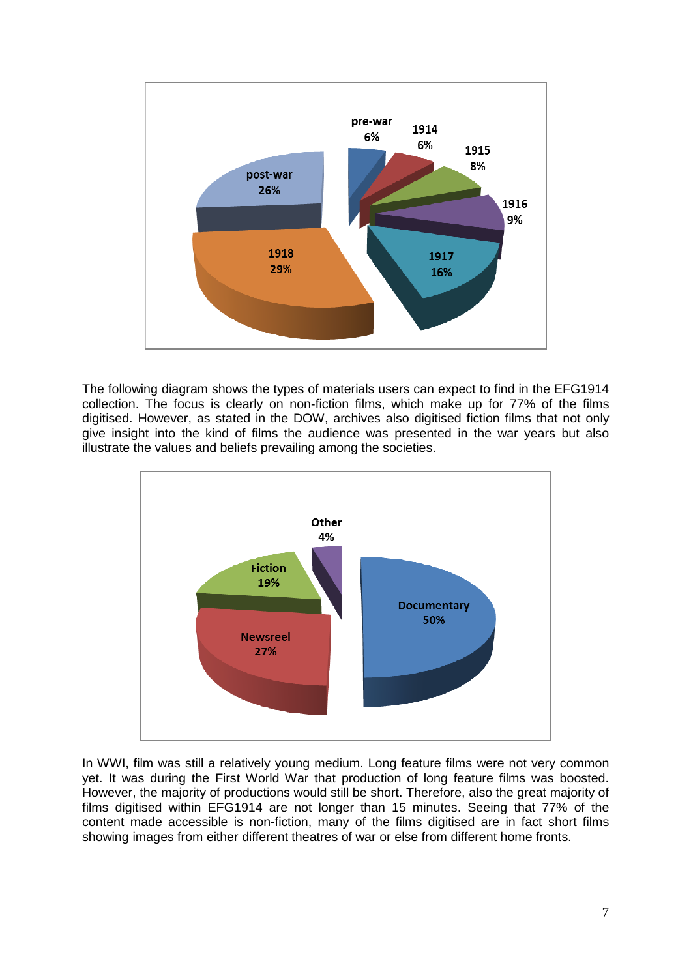

The following diagram shows the types of materials users can expect to find in the EFG1914 collection. The focus is clearly on non-fiction films, which make up for 77% of the films digitised. However, as stated in the DOW, archives also digitised fiction films that not only give insight into the kind of films the audience was presented in the war years but also illustrate the values and beliefs prevailing among the societies.



In WWI, film was still a relatively young medium. Long feature films were not very common yet. It was during the First World War that production of long feature films was boosted. However, the majority of productions would still be short. Therefore, also the great majority of films digitised within EFG1914 are not longer than 15 minutes. Seeing that 77% of the content made accessible is non-fiction, many of the films digitised are in fact short films showing images from either different theatres of war or else from different home fronts.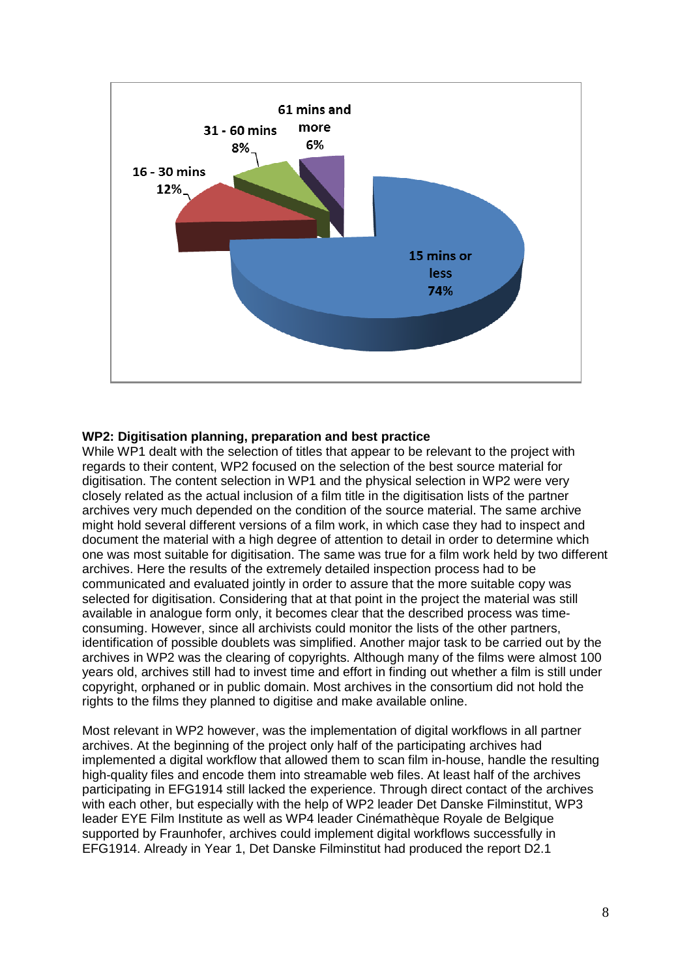

# **WP2: Digitisation planning, preparation and best practice**

While WP1 dealt with the selection of titles that appear to be relevant to the project with regards to their content, WP2 focused on the selection of the best source material for digitisation. The content selection in WP1 and the physical selection in WP2 were very closely related as the actual inclusion of a film title in the digitisation lists of the partner archives very much depended on the condition of the source material. The same archive might hold several different versions of a film work, in which case they had to inspect and document the material with a high degree of attention to detail in order to determine which one was most suitable for digitisation. The same was true for a film work held by two different archives. Here the results of the extremely detailed inspection process had to be communicated and evaluated jointly in order to assure that the more suitable copy was selected for digitisation. Considering that at that point in the project the material was still available in analogue form only, it becomes clear that the described process was timeconsuming. However, since all archivists could monitor the lists of the other partners, identification of possible doublets was simplified. Another major task to be carried out by the archives in WP2 was the clearing of copyrights. Although many of the films were almost 100 years old, archives still had to invest time and effort in finding out whether a film is still under copyright, orphaned or in public domain. Most archives in the consortium did not hold the rights to the films they planned to digitise and make available online.

Most relevant in WP2 however, was the implementation of digital workflows in all partner archives. At the beginning of the project only half of the participating archives had implemented a digital workflow that allowed them to scan film in-house, handle the resulting high-quality files and encode them into streamable web files. At least half of the archives participating in EFG1914 still lacked the experience. Through direct contact of the archives with each other, but especially with the help of WP2 leader Det Danske Filminstitut, WP3 leader EYE Film Institute as well as WP4 leader Cinémathèque Royale de Belgique supported by Fraunhofer, archives could implement digital workflows successfully in EFG1914. Already in Year 1, Det Danske Filminstitut had produced the report D2.1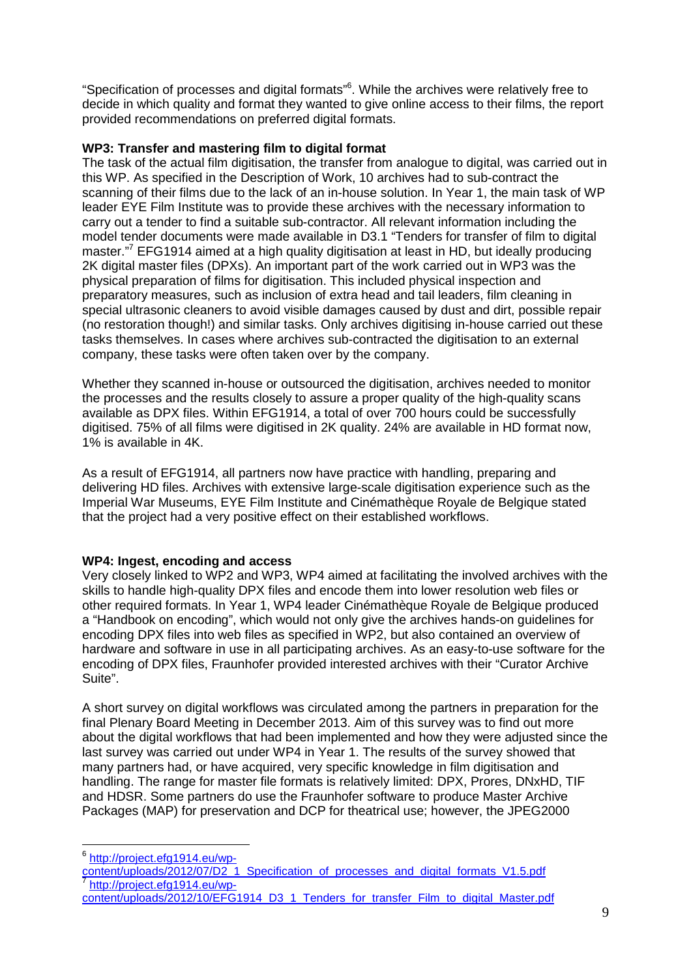"Specification of processes and digital formats"<sup>6</sup>. While the archives were relatively free to decide in which quality and format they wanted to give online access to their films, the report provided recommendations on preferred digital formats.

#### **WP3: Transfer and mastering film to digital format**

The task of the actual film digitisation, the transfer from analogue to digital, was carried out in this WP. As specified in the Description of Work, 10 archives had to sub-contract the scanning of their films due to the lack of an in-house solution. In Year 1, the main task of WP leader EYE Film Institute was to provide these archives with the necessary information to carry out a tender to find a suitable sub-contractor. All relevant information including the model tender documents were made available in D3.1 "Tenders for transfer of film to digital master."<sup>7</sup> EFG1914 aimed at a high quality digitisation at least in HD, but ideally producing 2K digital master files (DPXs). An important part of the work carried out in WP3 was the physical preparation of films for digitisation. This included physical inspection and preparatory measures, such as inclusion of extra head and tail leaders, film cleaning in special ultrasonic cleaners to avoid visible damages caused by dust and dirt, possible repair (no restoration though!) and similar tasks. Only archives digitising in-house carried out these tasks themselves. In cases where archives sub-contracted the digitisation to an external company, these tasks were often taken over by the company.

Whether they scanned in-house or outsourced the digitisation, archives needed to monitor the processes and the results closely to assure a proper quality of the high-quality scans available as DPX files. Within EFG1914, a total of over 700 hours could be successfully digitised. 75% of all films were digitised in 2K quality. 24% are available in HD format now, 1% is available in 4K.

As a result of EFG1914, all partners now have practice with handling, preparing and delivering HD files. Archives with extensive large-scale digitisation experience such as the Imperial War Museums, EYE Film Institute and Cinémathèque Royale de Belgique stated that the project had a very positive effect on their established workflows.

# **WP4: Ingest, encoding and access**

Very closely linked to WP2 and WP3, WP4 aimed at facilitating the involved archives with the skills to handle high-quality DPX files and encode them into lower resolution web files or other required formats. In Year 1, WP4 leader Cinémathèque Royale de Belgique produced a "Handbook on encoding", which would not only give the archives hands-on guidelines for encoding DPX files into web files as specified in WP2, but also contained an overview of hardware and software in use in all participating archives. As an easy-to-use software for the encoding of DPX files, Fraunhofer provided interested archives with their "Curator Archive Suite".

A short survey on digital workflows was circulated among the partners in preparation for the final Plenary Board Meeting in December 2013. Aim of this survey was to find out more about the digital workflows that had been implemented and how they were adjusted since the last survey was carried out under WP4 in Year 1. The results of the survey showed that many partners had, or have acquired, very specific knowledge in film digitisation and handling. The range for master file formats is relatively limited: DPX, Prores, DNxHD, TIF and HDSR. Some partners do use the Fraunhofer software to produce Master Archive Packages (MAP) for preservation and DCP for theatrical use; however, the JPEG2000

<sup>&</sup>lt;sub>e</sub><br><sup>6</sup> http://project.efg1914.eu/wp-

content/uploads/2012/07/D2\_1\_Specification\_of\_processes\_and\_digital\_formats\_V1.5.pdf 7 http://project.efg1914.eu/wp-

content/uploads/2012/10/EFG1914\_D3\_1\_Tenders\_for\_transfer\_Film\_to\_digital\_Master.pdf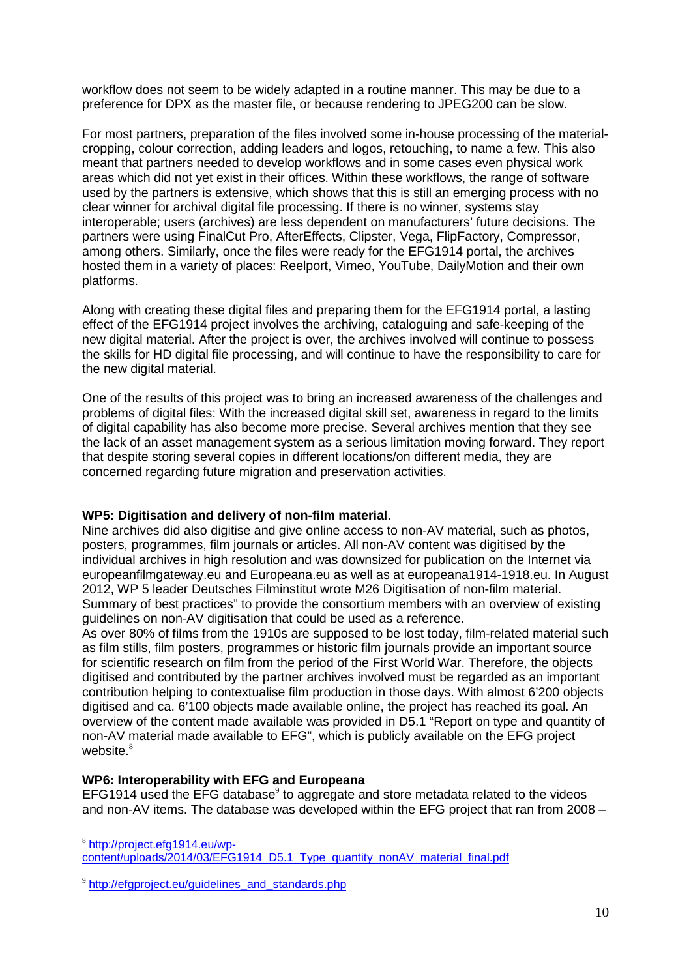workflow does not seem to be widely adapted in a routine manner. This may be due to a preference for DPX as the master file, or because rendering to JPEG200 can be slow.

For most partners, preparation of the files involved some in-house processing of the materialcropping, colour correction, adding leaders and logos, retouching, to name a few. This also meant that partners needed to develop workflows and in some cases even physical work areas which did not yet exist in their offices. Within these workflows, the range of software used by the partners is extensive, which shows that this is still an emerging process with no clear winner for archival digital file processing. If there is no winner, systems stay interoperable; users (archives) are less dependent on manufacturers' future decisions. The partners were using FinalCut Pro, AfterEffects, Clipster, Vega, FlipFactory, Compressor, among others. Similarly, once the files were ready for the EFG1914 portal, the archives hosted them in a variety of places: Reelport, Vimeo, YouTube, DailyMotion and their own platforms.

Along with creating these digital files and preparing them for the EFG1914 portal, a lasting effect of the EFG1914 project involves the archiving, cataloguing and safe-keeping of the new digital material. After the project is over, the archives involved will continue to possess the skills for HD digital file processing, and will continue to have the responsibility to care for the new digital material.

One of the results of this project was to bring an increased awareness of the challenges and problems of digital files: With the increased digital skill set, awareness in regard to the limits of digital capability has also become more precise. Several archives mention that they see the lack of an asset management system as a serious limitation moving forward. They report that despite storing several copies in different locations/on different media, they are concerned regarding future migration and preservation activities.

# **WP5: Digitisation and delivery of non-film material**.

Nine archives did also digitise and give online access to non-AV material, such as photos, posters, programmes, film journals or articles. All non-AV content was digitised by the individual archives in high resolution and was downsized for publication on the Internet via europeanfilmgateway.eu and Europeana.eu as well as at europeana1914-1918.eu. In August 2012, WP 5 leader Deutsches Filminstitut wrote M26 Digitisation of non-film material. Summary of best practices" to provide the consortium members with an overview of existing guidelines on non-AV digitisation that could be used as a reference.

As over 80% of films from the 1910s are supposed to be lost today, film-related material such as film stills, film posters, programmes or historic film journals provide an important source for scientific research on film from the period of the First World War. Therefore, the objects digitised and contributed by the partner archives involved must be regarded as an important contribution helping to contextualise film production in those days. With almost 6'200 objects digitised and ca. 6'100 objects made available online, the project has reached its goal. An overview of the content made available was provided in D5.1 "Report on type and quantity of non-AV material made available to EFG", which is publicly available on the EFG project website.<sup>8</sup>

#### **WP6: Interoperability with EFG and Europeana**

EFG1914 used the EFG database $9$  to aggregate and store metadata related to the videos and non-AV items. The database was developed within the EFG project that ran from 2008 –

 $\overline{a}$ 8 http://project.efg1914.eu/wp-

content/uploads/2014/03/EFG1914\_D5.1\_Type\_quantity\_nonAV\_material\_final.pdf

<sup>&</sup>lt;sup>9</sup> http://efgproject.eu/guidelines\_and\_standards.php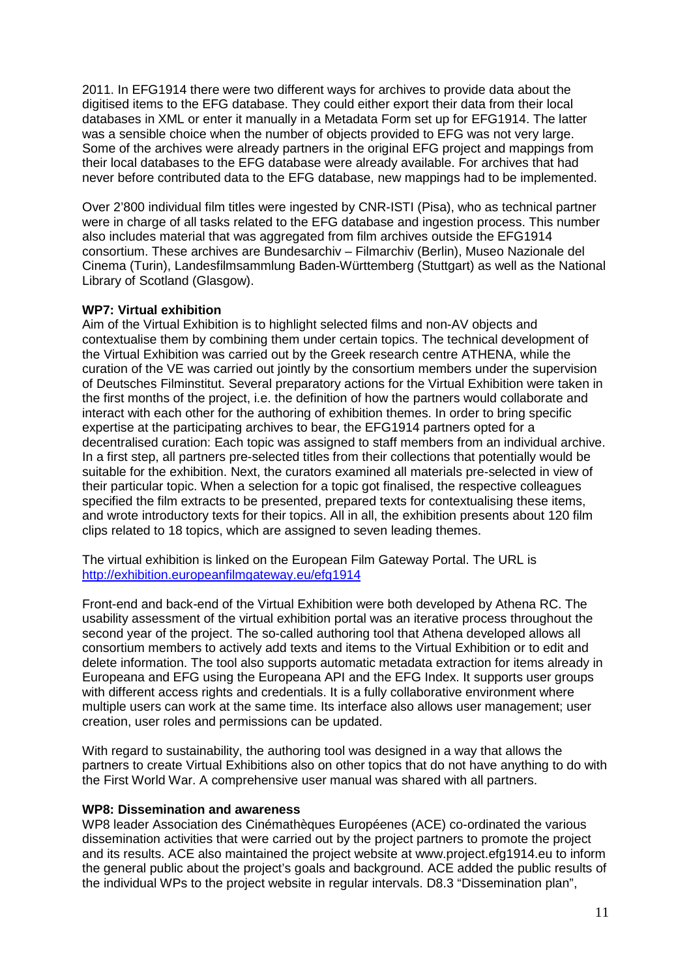2011. In EFG1914 there were two different ways for archives to provide data about the digitised items to the EFG database. They could either export their data from their local databases in XML or enter it manually in a Metadata Form set up for EFG1914. The latter was a sensible choice when the number of objects provided to EFG was not very large. Some of the archives were already partners in the original EFG project and mappings from their local databases to the EFG database were already available. For archives that had never before contributed data to the EFG database, new mappings had to be implemented.

Over 2'800 individual film titles were ingested by CNR-ISTI (Pisa), who as technical partner were in charge of all tasks related to the EFG database and ingestion process. This number also includes material that was aggregated from film archives outside the EFG1914 consortium. These archives are Bundesarchiv – Filmarchiv (Berlin), Museo Nazionale del Cinema (Turin), Landesfilmsammlung Baden-Württemberg (Stuttgart) as well as the National Library of Scotland (Glasgow).

#### **WP7: Virtual exhibition**

Aim of the Virtual Exhibition is to highlight selected films and non-AV objects and contextualise them by combining them under certain topics. The technical development of the Virtual Exhibition was carried out by the Greek research centre ATHENA, while the curation of the VE was carried out jointly by the consortium members under the supervision of Deutsches Filminstitut. Several preparatory actions for the Virtual Exhibition were taken in the first months of the project, i.e. the definition of how the partners would collaborate and interact with each other for the authoring of exhibition themes. In order to bring specific expertise at the participating archives to bear, the EFG1914 partners opted for a decentralised curation: Each topic was assigned to staff members from an individual archive. In a first step, all partners pre-selected titles from their collections that potentially would be suitable for the exhibition. Next, the curators examined all materials pre-selected in view of their particular topic. When a selection for a topic got finalised, the respective colleagues specified the film extracts to be presented, prepared texts for contextualising these items, and wrote introductory texts for their topics. All in all, the exhibition presents about 120 film clips related to 18 topics, which are assigned to seven leading themes.

The virtual exhibition is linked on the European Film Gateway Portal. The URL is http://exhibition.europeanfilmgateway.eu/efg1914

Front-end and back-end of the Virtual Exhibition were both developed by Athena RC. The usability assessment of the virtual exhibition portal was an iterative process throughout the second year of the project. The so-called authoring tool that Athena developed allows all consortium members to actively add texts and items to the Virtual Exhibition or to edit and delete information. The tool also supports automatic metadata extraction for items already in Europeana and EFG using the Europeana API and the EFG Index. It supports user groups with different access rights and credentials. It is a fully collaborative environment where multiple users can work at the same time. Its interface also allows user management; user creation, user roles and permissions can be updated.

With regard to sustainability, the authoring tool was designed in a way that allows the partners to create Virtual Exhibitions also on other topics that do not have anything to do with the First World War. A comprehensive user manual was shared with all partners.

#### **WP8: Dissemination and awareness**

WP8 leader Association des Cinémathèques Européenes (ACE) co-ordinated the various dissemination activities that were carried out by the project partners to promote the project and its results. ACE also maintained the project website at www.project.efg1914.eu to inform the general public about the project's goals and background. ACE added the public results of the individual WPs to the project website in regular intervals. D8.3 "Dissemination plan",